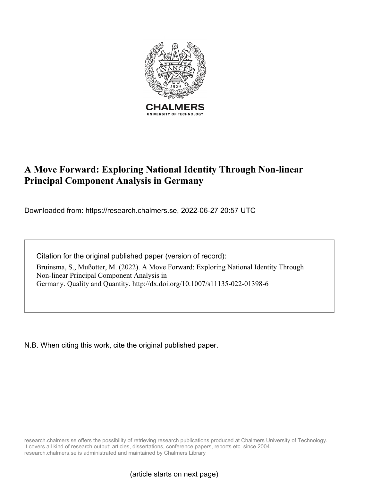

# **A Move Forward: Exploring National Identity Through Non-linear Principal Component Analysis in Germany**

Downloaded from: https://research.chalmers.se, 2022-06-27 20:57 UTC

Citation for the original published paper (version of record):

Bruinsma, S., Mußotter, M. (2022). A Move Forward: Exploring National Identity Through Non-linear Principal Component Analysis in Germany. Quality and Quantity. http://dx.doi.org/10.1007/s11135-022-01398-6

N.B. When citing this work, cite the original published paper.

research.chalmers.se offers the possibility of retrieving research publications produced at Chalmers University of Technology. It covers all kind of research output: articles, dissertations, conference papers, reports etc. since 2004. research.chalmers.se is administrated and maintained by Chalmers Library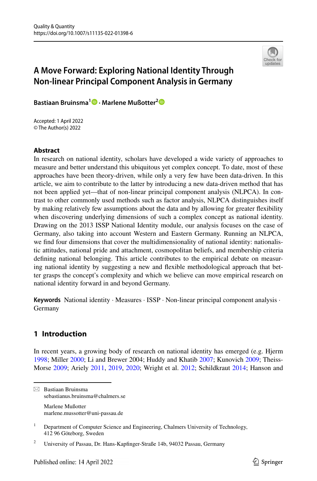

## **A Move Forward: Exploring National Identity Through Non‑linear Principal Component Analysis in Germany**

**Bastiaan Bruinsma1 · Marlene Mußotter[2](http://orcid.org/0000-0002-6091-7326)**

Accepted: 1 April 2022 © The Author(s) 2022

### **Abstract**

In research on national identity, scholars have developed a wide variety of approaches to measure and better understand this ubiquitous yet complex concept. To date, most of these approaches have been theory-driven, while only a very few have been data-driven. In this article, we aim to contribute to the latter by introducing a new data-driven method that has not been applied yet—that of non-linear principal component analysis (NLPCA). In contrast to other commonly used methods such as factor analysis, NLPCA distinguishes itself by making relatively few assumptions about the data and by allowing for greater fexibility when discovering underlying dimensions of such a complex concept as national identity. Drawing on the 2013 ISSP National Identity module, our analysis focuses on the case of Germany, also taking into account Western and Eastern Germany. Running an NLPCA, we fnd four dimensions that cover the multidimensionality of national identity: nationalistic attitudes, national pride and attachment, cosmopolitan beliefs, and membership criteria defning national belonging. This article contributes to the empirical debate on measuring national identity by suggesting a new and fexible methodological approach that better grasps the concept's complexity and which we believe can move empirical research on national identity forward in and beyond Germany.

**Keywords** National identity · Measures · ISSP · Non-linear principal component analysis · Germany

### **1 Introduction**

In recent years, a growing body of research on national identity has emerged (e.g. Hjerm [1998;](#page-18-0) Miller [2000](#page-19-0); Li and Brewer 2004; Huddy and Khatib [2007;](#page-18-1) Kunovich [2009](#page-18-2); Theiss-Morse [2009](#page-19-1); Ariely [2011,](#page-16-0) [2019](#page-17-0), [2020;](#page-17-1) Wright et al. [2012;](#page-19-2) Schildkraut [2014](#page-19-3); Hanson and

 $\boxtimes$  Bastiaan Bruinsma sebastianus.bruinsma@chalmers.se Marlene Mußotter marlene.mussotter@uni-passau.de

<sup>&</sup>lt;sup>1</sup> Department of Computer Science and Engineering, Chalmers University of Technology, 412 96 Göteborg, Sweden

<sup>&</sup>lt;sup>2</sup> University of Passau, Dr. Hans-Kapfinger-Straße 14b, 94032 Passau, Germany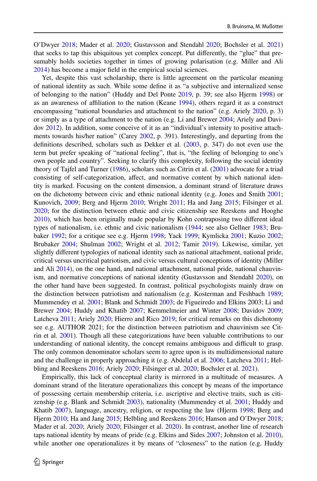O'Dwyer [2018;](#page-18-3) Mader et al. [2020](#page-18-4); Gustavsson and Stendahl [2020](#page-18-5); Bochsler et al. [2021](#page-17-2)) that seeks to tap this ubiquitous yet complex concept. Put diferently, the "glue" that presumably holds societies together in times of growing polarisation (e.g. Miller and Ali [2014\)](#page-19-4) has become a major feld in the empirical social sciences.

Yet, despite this vast scholarship, there is little agreement on the particular meaning of national identity as such. While some defne it as "a subjective and internalized sense of belonging to the nation" (Huddy and Del Ponte [2019](#page-18-6), p. 39; see also Hjerm [1998](#page-18-0)) or as an awareness of afliation to the nation (Keane [1994\)](#page-18-7), others regard it as a construct encompassing "national boundaries and attachment to the nation" (e.g. Ariely [2020](#page-17-1), p. 3) or simply as a type of attachment to the nation (e.g. Li and Brewer [2004;](#page-18-8) Ariely and Davidov [2012](#page-17-3)). In addition, some conceive of it as an "individual's intensity to positive attachments towards his/her nation" (Carey [2002,](#page-17-4) p. 391). Interestingly, and departing from the defnitions described, scholars such as Dekker et al. ([2003,](#page-17-5) p. 347) do not even use the term but prefer speaking of "national feeling", that is, "the feeling of belonging to one's own people and country". Seeking to clarify this complexity, following the social identity theory of Tajfel and Turner ([1986\)](#page-19-5), scholars such as Citrin et al. ([2001\)](#page-17-6) advocate for a triad consisting of self-categorization, afect, and normative content by which national identity is marked. Focusing on the content dimension, a dominant strand of literature draws on the dichotomy between civic and ethnic national identity (e.g. Jones and Smith [2001;](#page-18-9) Kunovich, [2009](#page-18-2); Berg and Hjerm [2010](#page-17-7); Wright [2011](#page-19-6); Ha and Jang [2015;](#page-18-10) Filsinger et al. [2020;](#page-17-8) for the distinction between ethnic and civic citizenship see Reeskens and Hooghe [2010\)](#page-19-7), which has been originally made popular by Kohn contraposing two diferent ideal types of nationalism, i.e. ethnic and civic nationalism [\(1944](#page-18-11); see also Gellner [1983](#page-17-9); Brubaker [1992;](#page-17-10) for a critique see e.g. Hjerm [1998](#page-18-0); Yack [1999](#page-19-8); Kymlicka [2001](#page-18-12); Kuzio [2002;](#page-18-13) Brubaker [2004;](#page-17-11) Shulman [2002;](#page-19-9) Wright et al. [2012](#page-19-2); Tamir [2019](#page-19-10)). Likewise, similar, yet slightly diferent typologies of national identity such as national attachment, national pride, critical versus uncritical patriotism, and civic versus cultural conceptions of identity (Miller and Ali [2014](#page-19-4)), on the one hand, and national attachment, national pride, national chauvinism, and normative conceptions of national identity (Gustavsson and Stendahl [2020](#page-18-5)), on the other hand have been suggested. In contrast, political psychologists mainly draw on the distinction between patriotism and nationalism (e.g. Kosterman and Feshbach [1989;](#page-18-14) Mummendey et al. [2001](#page-19-11); Blank and Schmidt [2003;](#page-17-12) de Figueiredo and Elkins 2003; Li and Brewer [2004;](#page-18-8) Huddy and Khatib [2007;](#page-18-1) Kemmelmeier and Winter [2008;](#page-18-15) Davidov [2009;](#page-17-13) Latcheva [2011;](#page-18-16) Ariely [2020;](#page-17-1) Hierro and Rico [2019;](#page-18-17) for critical remarks on this dichotomy see e.g. AUTHOR 2021; for the distinction between patriotism and chauvinism see Citrin et al. [2001\)](#page-17-6). Though all these categorizations have been valuable contributions to our understanding of national identity, the concept remains ambiguous and difficult to grasp. The only common denominator scholars seem to agree upon is its multidimensional nature and the challenge in properly approaching it (e.g. Abdelal et al. [2006](#page-16-1); Latcheva [2011;](#page-18-16) Helbling and Reeskens [2016;](#page-18-18) Ariely [2020](#page-17-1); Filsinger et al. [2020](#page-17-8); Bochsler et al. [2021\)](#page-17-2).

Empirically, this lack of conceptual clarity is mirrored in a multitude of measures. A dominant strand of the literature operationalizes this concept by means of the importance of possessing certain membership criteria, i.e. ascriptive and elective traits, such as citizenship (e.g. Blank and Schmidt [2003\)](#page-17-12), nationality (Mummendey et al. [2001](#page-19-11); Huddy and Khatib [2007\)](#page-18-1), language, ancestry, religion, or respecting the law (Hjerm [1998](#page-18-0); Berg and Hjerm [2010;](#page-17-7) Ha and Jang [2015](#page-18-10); Helbling and Reeskens [2016](#page-18-18); Hanson and O'Dwyer [2018;](#page-18-3) Mader et al. [2020;](#page-18-4) Ariely [2020](#page-17-1); Filsinger et al. [2020](#page-17-8)). In contrast, another line of research taps national identity by means of pride (e.g. Elkins and Sides [2007;](#page-17-14) Johnston et al. [2010](#page-18-19)), while another one operationalizes it by means of "closeness" to the nation (e.g. Huddy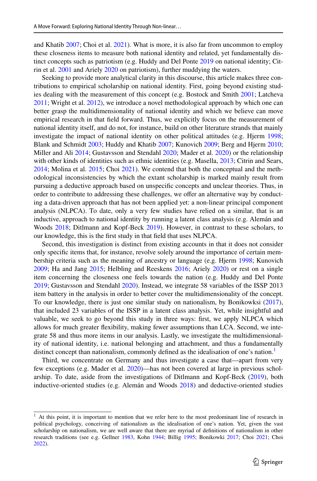and Khatib [2007](#page-18-1); Choi et al. [2021\)](#page-17-15). What is more, it is also far from uncommon to employ these closeness items to measure both national identity and related, yet fundamentally distinct concepts such as patriotism (e.g. Huddy and Del Ponte [2019](#page-18-6) on national identity; Citrin et al. [2001](#page-17-6) and Ariely [2020](#page-17-1) on patriotism), further muddying the waters.

Seeking to provide more analytical clarity in this discourse, this article makes three contributions to empirical scholarship on national identity. First, going beyond existing studies dealing with the measurement of this concept (e.g. Bostock and Smith [2001;](#page-17-16) Latcheva [2011;](#page-18-16) Wright et al. [2012](#page-19-2)), we introduce a novel methodological approach by which one can better grasp the multidimensionality of national identity and which we believe can move empirical research in that feld forward. Thus, we explicitly focus on the measurement of national identity itself, and do not, for instance, build on other literature strands that mainly investigate the impact of national identity on other political attitudes (e.g. Hjerm [1998;](#page-18-0) Blank and Schmidt [2003](#page-17-12); Huddy and Khatib [2007](#page-18-1); Kunovich [2009;](#page-18-2) Berg and Hjerm [2010;](#page-17-7) Miller and Ali [2014;](#page-19-4) Gustavsson and Stendahl [2020;](#page-18-5) Mader et al. [2020](#page-18-4)) or the relationship with other kinds of identities such as ethnic identities (e.g. Masella, [2013;](#page-18-20) Citrin and Sears, [2014;](#page-17-17) Molina et al. [2015](#page-19-12); Choi [2021\)](#page-17-18). We contend that both the conceptual and the methodological inconsistencies by which the extant scholarship is marked mainly result from pursuing a deductive approach based on unspecifc concepts and unclear theories. Thus, in order to contribute to addressing these challenges, we ofer an alternative way by conducting a data-driven approach that has not been applied yet: a non-linear principal component analysis (NLPCA). To date, only a very few studies have relied on a similar, that is an inductive, approach to national identity by running a latent class analysis (e.g. Alemán and Woods [2018](#page-16-2); Ditlmann and Kopf-Beck [2019](#page-17-19)). However, in contrast to these scholars, to our knowledge, this is the frst study in that feld that uses NLPCA.

Second, this investigation is distinct from existing accounts in that it does not consider only specifc items that, for instance, revolve solely around the importance of certain membership criteria such as the meaning of ancestry or language (e.g. Hjerm [1998;](#page-18-0) Kunovich [2009;](#page-18-2) Ha and Jang [2015](#page-18-10); Helbling and Reeskens [2016](#page-18-18); Ariely [2020](#page-17-1)) or rest on a single item concerning the closeness one feels towards the nation (e.g. Huddy and Del Ponte [2019;](#page-18-6) Gustavsson and Stendahl [2020](#page-18-5)). Instead, we integrate 58 variables of the ISSP 2013 item battery in the analysis in order to better cover the multidimensionality of the concept. To our knowledge, there is just one similar study on nationalism, by Bonikowksi [\(2017](#page-17-20)), that included 23 variables of the ISSP in a latent class analysis. Yet, while insightful and valuable, we seek to go beyond this study in three ways: frst, we apply NLPCA which allows for much greater fexibility, making fewer assumptions than LCA. Second, we integrate 58 and thus more items in our analysis. Lastly, we investigate the multidimensionality of national identity, i.e. national belonging and attachment, and thus a fundamentally distinct concept than nationalism, commonly defined as the idealisation of one's nation.<sup>1</sup>

Third, we concentrate on Germany and thus investigate a case that—apart from very few exceptions (e.g. Mader et al. [2020](#page-18-4))—has not been covered at large in previous scholarship. To date, aside from the investigations of Ditlmann and Kopf-Beck [\(2019](#page-17-19)), both inductive-oriented studies (e.g. Alemán and Woods [2018](#page-16-2)) and deductive-oriented studies

<span id="page-3-0"></span><sup>&</sup>lt;sup>1</sup> At this point, it is important to mention that we refer here to the most predominant line of research in political psychology, conceiving of nationalism as the idealisation of one's nation. Yet, given the vast scholarship on nationalism, we are well aware that there are myriad of defnitions of nationalism in other research traditions (see e.g. Gellner [1983,](#page-17-9) Kohn [1944](#page-18-11); Billig [1995;](#page-17-21) Bonikowki [2017;](#page-17-20) Choi [2021](#page-17-18); Choi [2022\)](#page-17-22).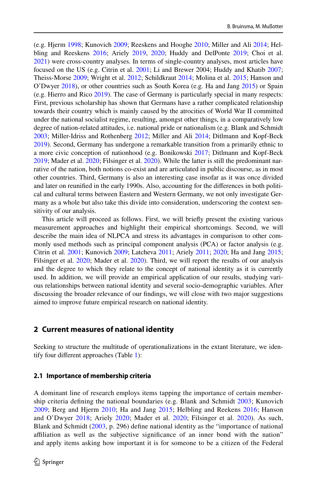(e.g. Hjerm [1998](#page-18-0); Kunovich [2009;](#page-18-2) Reeskens and Hooghe [2010](#page-19-7); Miller and Ali [2014](#page-19-4); Helbling and Reeskens [2016;](#page-18-18) Ariely [2019,](#page-17-0) [2020](#page-17-1); Huddy and DelPonte [2019](#page-18-6); Choi et al. [2021\)](#page-17-15) were cross-country analyses. In terms of single-country analyses, most articles have focused on the US (e.g. Citrin et al. [2001;](#page-17-6) Li and Brewer 2004; Huddy and Khatib [2007;](#page-18-1) Theiss-Morse [2009;](#page-19-1) Wright et al. [2012;](#page-19-2) Schildkraut [2014](#page-19-3); Molina et al. [2015;](#page-19-12) Hanson and O'Dwyer [2018](#page-18-3)), or other countries such as South Korea (e.g. Ha and Jang [2015](#page-18-10)) or Spain (e.g. Hierro and Rico [2019](#page-18-17)). The case of Germany is particularly special in many respects: First, previous scholarship has shown that Germans have a rather complicated relationship towards their country which is mainly caused by the atrocities of World War II committed under the national socialist regime, resulting, amongst other things, in a comparatively low degree of nation-related attitudes, i.e. national pride or nationalism (e.g. Blank and Schmidt [2003;](#page-17-12) Miller-Idriss and Rothenberg [2012](#page-19-13); Miller and Ali [2014](#page-19-4); Ditlmann and Kopf-Beck [2019\)](#page-17-19). Second, Germany has undergone a remarkable transition from a primarily ethnic to a more civic conception of nationhood (e.g. Bonikowski [2017;](#page-17-20) Ditlmann and Kopf-Beck [2019;](#page-17-19) Mader et al. [2020;](#page-18-4) Filsinger et al. [2020](#page-17-8)). While the latter is still the predominant narrative of the nation, both notions co-exist and are articulated in public discourse, as in most other countries. Third, Germany is also an interesting case insofar as it was once divided and later on reunifed in the early 1990s. Also, accounting for the diferences in both political and cultural terms between Eastern and Western Germany, we not only investigate Germany as a whole but also take this divide into consideration, underscoring the context sensitivity of our analysis.

This article will proceed as follows. First, we will briefy present the existing various measurement approaches and highlight their empirical shortcomings. Second, we will describe the main idea of NLPCA and stress its advantages in comparison to other commonly used methods such as principal component analysis (PCA) or factor analysis (e.g. Citrin et al. [2001;](#page-17-6) Kunovich [2009](#page-18-2); Latcheva [2011;](#page-18-16) Ariely [2011](#page-16-0); [2020;](#page-17-1) Ha and Jang [2015;](#page-18-10) Filsinger et al. [2020;](#page-17-8) Mader et al. [2020\)](#page-18-4). Third, we will report the results of our analysis and the degree to which they relate to the concept of national identity as it is currently used. In addition, we will provide an empirical application of our results, studying various relationships between national identity and several socio-demographic variables. After discussing the broader relevance of our fndings, we will close with two major suggestions aimed to improve future empirical research on national identity.

#### **2 Current measures of national identity**

Seeking to structure the multitude of operationalizations in the extant literature, we identify four diferent approaches (Table [1](#page-5-0)):

#### **2.1 Importance of membership criteria**

A dominant line of research employs items tapping the importance of certain membership criteria defning the national boundaries (e.g. Blank and Schmidt [2003;](#page-17-12) Kunovich [2009](#page-18-2); Berg and Hjerm [2010](#page-17-7); Ha and Jang [2015;](#page-18-10) Helbling and Reekens [2016;](#page-18-18) Hanson and O'Dwyer [2018;](#page-18-3) Ariely [2020;](#page-17-1) Mader et al. [2020](#page-18-4); Filsinger et al. [2020](#page-17-8)). As such, Blank and Schmidt ([2003,](#page-17-12) p. 296) defne national identity as the "importance of national afliation as well as the subjective signifcance of an inner bond with the nation" and apply items asking how important it is for someone to be a citizen of the Federal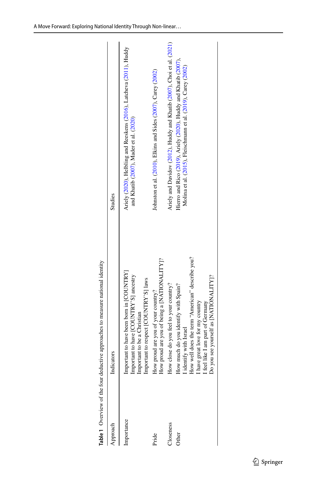|                 | indicators                                                                                                                                                                                                                                       | Studies                                                                                                                          |
|-----------------|--------------------------------------------------------------------------------------------------------------------------------------------------------------------------------------------------------------------------------------------------|----------------------------------------------------------------------------------------------------------------------------------|
| nportance       |                                                                                                                                                                                                                                                  | Ariely (2020), Helbling and Reeskens (2016), Latcheva (2011), Huddy<br>and Khatib (2007), Mader et al. (2020)                    |
| Pride           |                                                                                                                                                                                                                                                  | Johnston et al. (2010), Elkins and Sides (2007), Carey (2002)                                                                    |
| <b>Joseness</b> |                                                                                                                                                                                                                                                  | Ariely and Davidov (2012), Huddy and Khatib (2007), Choi et al. (2021)                                                           |
| Other           | Important to have been born in [COUNTRY]<br>Important to have [COUNTRY'S] ancestry<br>Important to be a Christian<br>Important to eachristian<br>Important to respect [COUNTRY'S] laws<br>How proud are you of your country?<br>How proud are yo | Hierro and Rico (2019), Ariely (2020), Huddy and Khatib (2007),<br>Molina et al. (2015), Fleischmann et al. (2019), Carey (2002) |

<span id="page-5-0"></span>Table 1 Overview of the four deductive approaches to measure national identity **Table 1** Overview of the four deductive approaches to measure national identity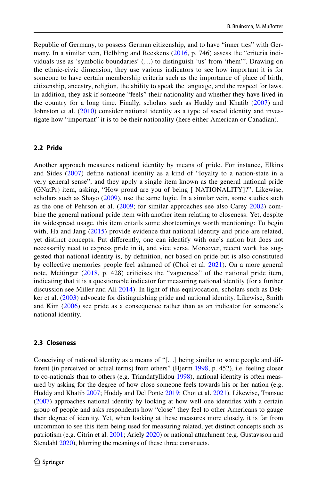Republic of Germany, to possess German citizenship, and to have "inner ties" with Germany. In a similar vein, Helbling and Reeskens ([2016](#page-18-18), p. 746) assess the "criteria individuals use as 'symbolic boundaries' (…) to distinguish 'us' from 'them"'. Drawing on the ethnic-civic dimension, they use various indicators to see how important it is for someone to have certain membership criteria such as the importance of place of birth, citizenship, ancestry, religion, the ability to speak the language, and the respect for laws. In addition, they ask if someone "feels" their nationality and whether they have lived in the country for a long time. Finally, scholars such as Huddy and Khatib ([2007](#page-18-1)) and Johnston et al. ([2010\)](#page-18-19) consider national identity as a type of social identity and investigate how "important" it is to be their nationality (here either American or Canadian).

#### **2.2 Pride**

Another approach measures national identity by means of pride. For instance, Elkins and Sides [\(2007\)](#page-17-14) defne national identity as a kind of "loyalty to a nation-state in a very general sense", and they apply a single item known as the general national pride (GNatPr) item, asking, "How proud are you of being [ NATIONALITY]?". Likewise, scholars such as Shayo ([2009](#page-19-14)), use the same logic. In a similar vein, some studies such as the one of Pehrson et al. [\(2009;](#page-19-15) for similar approaches see also Carey [2002\)](#page-17-4) combine the general national pride item with another item relating to closeness. Yet, despite its widespread usage, this item entails some shortcomings worth mentioning: To begin with, Ha and Jang ([2015](#page-18-10)) provide evidence that national identity and pride are related, yet distinct concepts. Put diferently, one can identify with one's nation but does not necessarily need to express pride in it, and vice versa. Moreover, recent work has suggested that national identity is, by defnition, not based on pride but is also constituted by collective memories people feel ashamed of (Choi et al. [2021](#page-17-15)). On a more general note, Meitinger ([2018,](#page-18-21) p. 428) criticises the "vagueness" of the national pride item, indicating that it is a questionable indicator for measuring national identity (for a further discussion see Miller and Ali [2014](#page-19-4)). In light of this equivocation, scholars such as Dekker et al. ([2003](#page-17-5)) advocate for distinguishing pride and national identity. Likewise, Smith and Kim [\(2006\)](#page-19-16) see pride as a consequence rather than as an indicator for someone's national identity.

#### **2.3 Closeness**

Conceiving of national identity as a means of "[…] being similar to some people and dif-ferent (in perceived or actual terms) from others" (Hjerm [1998,](#page-18-0) p. 452), i.e. feeling closer to co-nationals than to others (e.g. Triandafyllidou [1998\)](#page-19-17), national identity is often measured by asking for the degree of how close someone feels towards his or her nation (e.g. Huddy and Khatib [2007;](#page-18-1) Huddy and Del Ponte [2019](#page-18-6); Choi et al. [2021\)](#page-17-15). Likewise, Transue ([2007\)](#page-19-18) approaches national identity by looking at how well one identifes with a certain group of people and asks respondents how "close" they feel to other Americans to gauge their degree of identity. Yet, when looking at these measures more closely, it is far from uncommon to see this item being used for measuring related, yet distinct concepts such as patriotism (e.g. Citrin et al. [2001](#page-17-6); Ariely [2020\)](#page-17-1) or national attachment (e.g. Gustavsson and Stendahl [2020](#page-18-5)), blurring the meanings of these three constructs.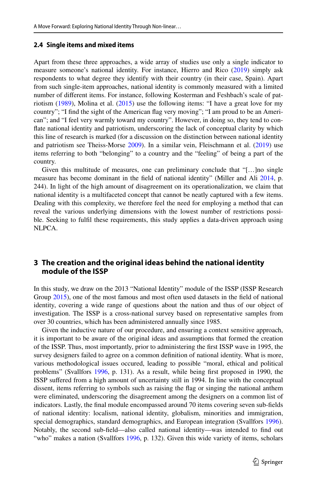#### **2.4 Single items and mixed items**

Apart from these three approaches, a wide array of studies use only a single indicator to measure someone's national identity. For instance, Hierro and Rico ([2019\)](#page-18-17) simply ask respondents to what degree they identify with their country (in their case, Spain). Apart from such single-item approaches, national identity is commonly measured with a limited number of diferent items. For instance, following Kosterman and Feshbach's scale of patriotism  $(1989)$  $(1989)$ , Molina et al.  $(2015)$  $(2015)$  use the following items: "I have a great love for my country"; "I fnd the sight of the American fag very moving"; "I am proud to be an American"; and "I feel very warmly toward my country". However, in doing so, they tend to confate national identity and patriotism, underscoring the lack of conceptual clarity by which this line of research is marked (for a discussion on the distinction between national identity and patriotism see Theiss-Morse [2009](#page-19-1)). In a similar vein, Fleischmann et al. [\(2019](#page-17-23)) use items referring to both "belonging" to a country and the "feeling" of being a part of the country.

Given this multitude of measures, one can preliminary conclude that "[…]no single measure has become dominant in the feld of national identity" (Miller and Ali [2014,](#page-19-4) p. 244). In light of the high amount of disagreement on its operationalization, we claim that national identity is a multifaceted concept that cannot be neatly captured with a few items. Dealing with this complexity, we therefore feel the need for employing a method that can reveal the various underlying dimensions with the lowest number of restrictions possible. Seeking to fulfl these requirements, this study applies a data-driven approach using NLPCA.

### **3 The creation and the original ideas behind the national identity module of the ISSP**

In this study, we draw on the 2013 "National Identity" module of the ISSP (ISSP Research Group [2015\)](#page-18-22), one of the most famous and most often used datasets in the feld of national identity, covering a wide range of questions about the nation and thus of our object of investigation. The ISSP is a cross-national survey based on representative samples from over 30 countries, which has been administered annually since 1985.

Given the inductive nature of our procedure, and ensuring a context sensitive approach, it is important to be aware of the original ideas and assumptions that formed the creation of the ISSP. Thus, most importantly, prior to administering the frst ISSP wave in 1995, the survey designers failed to agree on a common defnition of national identity. What is more, various methodological issues occured, leading to possible "moral, ethical and political problems" (Svallfors [1996,](#page-19-19) p. 131). As a result, while being frst proposed in 1990, the ISSP sufered from a high amount of uncertainty still in 1994. In line with the conceptual dissent, items referring to symbols such as raising the fag or singing the national anthem were eliminated, underscoring the disagreement among the designers on a common list of indicators. Lastly, the fnal module encompassed around 70 items covering seven sub-felds of national identity: localism, national identity, globalism, minorities and immigration, special demographics, standard demographics, and European integration (Svallfors [1996](#page-19-19)). Notably, the second sub-feld—also called national identity—was intended to fnd out "who" makes a nation (Svallfors [1996](#page-19-19), p. 132). Given this wide variety of items, scholars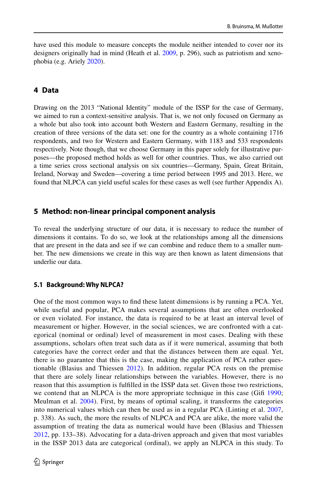have used this module to measure concepts the module neither intended to cover nor its designers originally had in mind (Heath et al. [2009](#page-18-23), p. 296), such as patriotism and xenophobia (e.g. Ariely [2020\)](#page-17-1).

### **4 Data**

Drawing on the 2013 "National Identity" module of the ISSP for the case of Germany, we aimed to run a context-sensitive analysis. That is, we not only focused on Germany as a whole but also took into account both Western and Eastern Germany, resulting in the creation of three versions of the data set: one for the country as a whole containing 1716 respondents, and two for Western and Eastern Germany, with 1183 and 533 respondents respectively. Note though, that we choose Germany in this paper solely for illustrative purposes—the proposed method holds as well for other countries. Thus, we also carried out a time series cross sectional analysis on six countries—Germany, Spain, Great Britain, Ireland, Norway and Sweden—covering a time period between 1995 and 2013. Here, we found that NLPCA can yield useful scales for these cases as well (see further Appendix A).

### **5 Method: non‑linear principal component analysis**

To reveal the underlying structure of our data, it is necessary to reduce the number of dimensions it contains. To do so, we look at the relationships among all the dimensions that are present in the data and see if we can combine and reduce them to a smaller number. The new dimensions we create in this way are then known as latent dimensions that underlie our data.

### **5.1 Background: Why NLPCA?**

One of the most common ways to fnd these latent dimensions is by running a PCA. Yet, while useful and popular, PCA makes several assumptions that are often overlooked or even violated. For instance, the data is required to be at least an interval level of measurement or higher. However, in the social sciences, we are confronted with a categorical (nominal or ordinal) level of measurement in most cases. Dealing with these assumptions, scholars often treat such data as if it were numerical, assuming that both categories have the correct order and that the distances between them are equal. Yet, there is no guarantee that this is the case, making the application of PCA rather questionable (Blasius and Thiessen [2012\)](#page-17-24). In addition, regular PCA rests on the premise that there are solely linear relationships between the variables. However, there is no reason that this assumption is fulflled in the ISSP data set. Given those two restrictions, we contend that an NLPCA is the more appropriate technique in this case (Gift [1990;](#page-17-25) Meulman et al. [2004](#page-19-20)). First, by means of optimal scaling, it transforms the categories into numerical values which can then be used as in a regular PCA (Linting et al. [2007](#page-18-24), p. 338). As such, the more the results of NLPCA and PCA are alike, the more valid the assumption of treating the data as numerical would have been (Blasius and Thiessen [2012](#page-17-24), pp. 133–38). Advocating for a data-driven approach and given that most variables in the ISSP 2013 data are categorical (ordinal), we apply an NLPCA in this study. To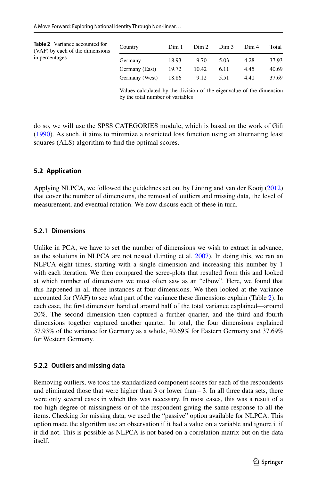<span id="page-9-0"></span>

| <b>Table 2</b> Variance accounted for<br>(VAF) by each of the dimensions | Country        | Dim 1 | Dim 2 | Dim 3 | Dim 4 | Total |
|--------------------------------------------------------------------------|----------------|-------|-------|-------|-------|-------|
| in percentages                                                           | Germany        | 18.93 | 9.70  | 5.03  | 4.28  | 37.93 |
|                                                                          | Germany (East) | 19.72 | 10.42 | 6.11  | 4.45  | 40.69 |
|                                                                          | Germany (West) | 18.86 | 9.12  | 5.51  | 4.40  | 37.69 |

Values calculated by the division of the eigenvalue of the dimension by the total number of variables

do so, we will use the SPSS CATEGORIES module, which is based on the work of Gif ([1990\)](#page-17-25). As such, it aims to minimize a restricted loss function using an alternating least squares (ALS) algorithm to find the optimal scores.

### **5.2 Application**

Applying NLPCA, we followed the guidelines set out by Linting and van der Kooij [\(2012](#page-18-25)) that cover the number of dimensions, the removal of outliers and missing data, the level of measurement, and eventual rotation. We now discuss each of these in turn.

### **5.2.1 Dimensions**

Unlike in PCA, we have to set the number of dimensions we wish to extract in advance, as the solutions in NLPCA are not nested (Linting et al. [2007](#page-18-24)). In doing this, we ran an NLPCA eight times, starting with a single dimension and increasing this number by 1 with each iteration. We then compared the scree-plots that resulted from this and looked at which number of dimensions we most often saw as an "elbow". Here, we found that this happened in all three instances at four dimensions. We then looked at the variance accounted for (VAF) to see what part of the variance these dimensions explain (Table [2\)](#page-9-0). In each case, the frst dimension handled around half of the total variance explained—around 20%. The second dimension then captured a further quarter, and the third and fourth dimensions together captured another quarter. In total, the four dimensions explained 37.93% of the variance for Germany as a whole, 40.69% for Eastern Germany and 37.69% for Western Germany.

### **5.2.2 Outliers and missing data**

Removing outliers, we took the standardized component scores for each of the respondents and eliminated those that were higher than 3 or lower than−3. In all three data sets, there were only several cases in which this was necessary. In most cases, this was a result of a too high degree of missingness or of the respondent giving the same response to all the items. Checking for missing data, we used the "passive" option available for NLPCA. This option made the algorithm use an observation if it had a value on a variable and ignore it if it did not. This is possible as NLPCA is not based on a correlation matrix but on the data itself.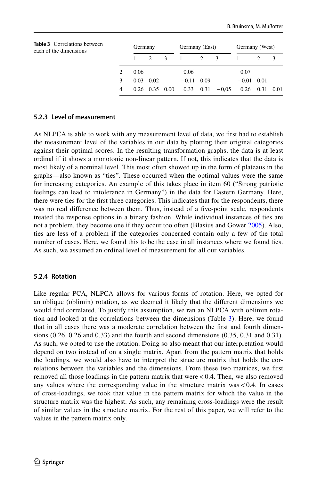<span id="page-10-0"></span>

| <b>Table 3</b> Correlations between<br>each of the dimensions |   | Germany |                      | Germany (East) |              | Germany (West) |                       |              |                      |  |
|---------------------------------------------------------------|---|---------|----------------------|----------------|--------------|----------------|-----------------------|--------------|----------------------|--|
|                                                               |   |         |                      | $\mathcal{E}$  |              | 2 3            |                       |              |                      |  |
|                                                               |   | 0.06    |                      |                | 0.06         |                |                       | 0.07         |                      |  |
|                                                               |   | 0.03    | 0.02                 |                | $-0.11$ 0.09 |                |                       | $-0.01$ 0.01 |                      |  |
|                                                               | 4 |         | $0.26$ $0.35$ $0.00$ |                |              |                | $0.33$ $0.31$ $-0.05$ |              | $0.26$ $0.31$ $0.01$ |  |

#### **5.2.3 Level of measurement**

As NLPCA is able to work with any measurement level of data, we frst had to establish the measurement level of the variables in our data by plotting their original categories against their optimal scores. In the resulting transformation graphs, the data is at least ordinal if it shows a monotonic non-linear pattern. If not, this indicates that the data is most likely of a nominal level. This most often showed up in the form of plateaus in the graphs—also known as "ties". These occurred when the optimal values were the same for increasing categories. An example of this takes place in item 60 ("Strong patriotic feelings can lead to intolerance in Germany") in the data for Eastern Germany. Here, there were ties for the frst three categories. This indicates that for the respondents, there was no real diference between them. Thus, instead of a fve-point scale, respondents treated the response options in a binary fashion. While individual instances of ties are not a problem, they become one if they occur too often (Blasius and Gower [2005](#page-17-26)). Also, ties are less of a problem if the categories concerned contain only a few of the total number of cases. Here, we found this to be the case in all instances where we found ties. As such, we assumed an ordinal level of measurement for all our variables.

### **5.2.4 Rotation**

Like regular PCA, NLPCA allows for various forms of rotation. Here, we opted for an oblique (oblimin) rotation, as we deemed it likely that the diferent dimensions we would fnd correlated. To justify this assumption, we ran an NLPCA with oblimin rotation and looked at the correlations between the dimensions (Table [3\)](#page-10-0). Here, we found that in all cases there was a moderate correlation between the frst and fourth dimensions (0.26, 0.26 and 0.33) and the fourth and second dimensions (0.35, 0.31 and 0.31). As such, we opted to use the rotation. Doing so also meant that our interpretation would depend on two instead of on a single matrix. Apart from the pattern matrix that holds the loadings, we would also have to interpret the structure matrix that holds the correlations between the variables and the dimensions. From these two matrices, we frst removed all those loadings in the pattern matrix that were  $< 0.4$ . Then, we also removed any values where the corresponding value in the structure matrix was  $< 0.4$ . In cases of cross-loadings, we took that value in the pattern matrix for which the value in the structure matrix was the highest. As such, any remaining cross-loadings were the result of similar values in the structure matrix. For the rest of this paper, we will refer to the values in the pattern matrix only.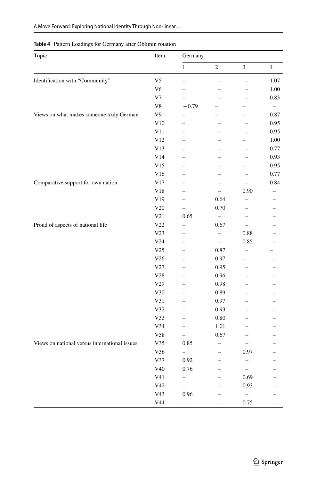| Topic                                         | Item            | Germany                  |                          |                          |                |  |
|-----------------------------------------------|-----------------|--------------------------|--------------------------|--------------------------|----------------|--|
|                                               |                 | $\mathbf{1}$             | $\mathfrak{2}$           | $\mathfrak{Z}$           | $\overline{4}$ |  |
| Identification with "Community"               | V <sub>5</sub>  | $\overline{\phantom{0}}$ |                          |                          | 1.07           |  |
|                                               | V <sub>6</sub>  | $\overline{\phantom{0}}$ |                          |                          | 1.00           |  |
|                                               | V <sub>7</sub>  | $\overline{\phantom{0}}$ |                          |                          | 0.83           |  |
|                                               | V8              | $-0.79$                  |                          |                          |                |  |
| Views on what makes someone truly German      | V9              |                          |                          |                          | 0.87           |  |
|                                               | V10             | $\overline{\phantom{0}}$ |                          |                          | 0.95           |  |
|                                               | V11             | $\overline{\phantom{0}}$ |                          |                          | 0.95           |  |
|                                               | V12             | $\overline{\phantom{0}}$ |                          |                          | 1.00           |  |
|                                               | V13             |                          |                          |                          | 0.77           |  |
|                                               | V14             |                          |                          |                          | 0.93           |  |
|                                               | V15             | $\overline{\phantom{0}}$ |                          |                          | 0.95           |  |
|                                               | V16             | $\overline{\phantom{0}}$ |                          | $\overline{a}$           | 0.77           |  |
| Comparative support for own nation            | V17             | $\overline{a}$           |                          | $\overline{a}$           | 0.84           |  |
|                                               | V18             | $\overline{a}$           | $\overline{a}$           | 0.90                     |                |  |
|                                               | ${\rm V19}$     | $\overline{\phantom{0}}$ | 0.64                     |                          |                |  |
|                                               | V20             | $\overline{\phantom{0}}$ | 0.70                     |                          |                |  |
|                                               | V21             | 0.65                     | $\overline{\phantom{0}}$ |                          |                |  |
| Proud of aspects of national life             | V22             | $\overline{\phantom{0}}$ | 0.67                     | $\overline{a}$           |                |  |
|                                               | V23             | $\overline{\phantom{0}}$ | $\overline{\phantom{0}}$ | 0.88                     |                |  |
|                                               | V24             | $\overline{\phantom{0}}$ | $\overline{a}$           | 0.85                     |                |  |
|                                               | ${\rm V}25$     | $\overline{\phantom{0}}$ | 0.87                     |                          |                |  |
|                                               | V26             | $\overline{\phantom{0}}$ | 0.97                     |                          |                |  |
|                                               | V27             | $\overline{a}$           | 0.95                     | $\overline{\phantom{0}}$ |                |  |
|                                               | V28             | -                        | 0.96                     |                          |                |  |
|                                               | ${\rm V29}$     |                          | 0.98                     |                          |                |  |
|                                               | ${\rm V30}$     |                          | 0.89                     |                          |                |  |
|                                               | V31             | $\overline{\phantom{0}}$ | 0.97                     |                          |                |  |
|                                               | V32             | $\overline{\phantom{0}}$ | 0.93                     |                          |                |  |
|                                               | V33             | $\overline{a}$           | 0.80                     |                          |                |  |
|                                               | V34             | $\overline{\phantom{0}}$ | 1.01                     |                          |                |  |
|                                               | ${\rm V58}$     | $\qquad \qquad -$        | 0.67                     | $\overline{\phantom{0}}$ |                |  |
| Views on national versus international issues | V35             | 0.85                     |                          |                          |                |  |
|                                               | V36             | $\overline{\phantom{0}}$ | $\overline{\phantom{0}}$ | 0.97                     |                |  |
|                                               | V37             | 0.92                     |                          | -                        |                |  |
|                                               | V40             | 0.76                     |                          | $\qquad \qquad -$        |                |  |
|                                               | V41             | $\qquad \qquad -$        |                          | 0.69                     |                |  |
|                                               | V42             | $-$                      |                          | 0.93                     |                |  |
|                                               | V <sub>43</sub> | 0.96                     |                          | $\overline{\phantom{0}}$ |                |  |
|                                               | V44             | $\overline{\phantom{0}}$ | $\overline{a}$           | 0.75                     | $\equiv$       |  |

#### <span id="page-11-0"></span>**Table 4** Pattern Loadings for Germany after Oblimin rotation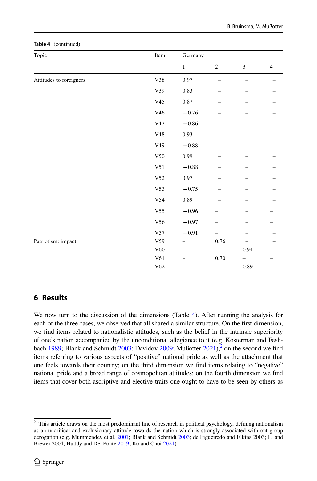| Topic                   | Item            | Germany      |                |                |                |  |
|-------------------------|-----------------|--------------|----------------|----------------|----------------|--|
|                         |                 | $\mathbf{1}$ | $\overline{c}$ | $\overline{3}$ | $\overline{4}$ |  |
| Attitudes to foreigners | V38             | 0.97         |                |                |                |  |
|                         | V39             | 0.83         |                |                |                |  |
|                         | V <sub>45</sub> | $\rm 0.87$   |                |                |                |  |
|                         | V46             | $-0.76$      |                |                |                |  |
|                         | ${\rm V}47$     | $-0.86$      |                |                |                |  |
|                         | ${\rm V48}$     | 0.93         |                |                |                |  |
|                         | V49             | $\!-0.88\!$  |                |                |                |  |
|                         | ${\rm V50}$     | 0.99         |                |                |                |  |
|                         | V51             | $\!-0.88\!$  |                |                |                |  |
|                         | ${\rm V52}$     | $0.97\,$     |                |                |                |  |
|                         | V53             | $-0.75$      |                |                |                |  |
|                         | V54             | 0.89         |                |                |                |  |
|                         | V <sub>55</sub> | $-0.96$      |                |                |                |  |
|                         | V56             | $-0.97$      |                |                |                |  |
|                         | V57             | $-0.91$      |                |                |                |  |
| Patriotism: impact      | V <sub>59</sub> |              | $0.76\,$       |                |                |  |
|                         | V60             |              |                | 0.94           |                |  |
|                         | ${\it V61}$     |              | 0.70           |                |                |  |
|                         | V62             |              |                | 0.89           |                |  |

#### **Table 4** (continued)

### **6 Results**

We now turn to the discussion of the dimensions (Table [4\)](#page-11-0). After running the analysis for each of the three cases, we observed that all shared a similar structure. On the frst dimension, we fnd items related to nationalistic attitudes, such as the belief in the intrinsic superiority of one's nation accompanied by the unconditional allegiance to it (e.g. Kosterman and Fesh-bach [1989](#page-18-14); Blank and Schmidt  $2003$ ; Davidov  $2009$ ; Mußotter  $2021$ ,  $^2$  on the second we find items referring to various aspects of "positive" national pride as well as the attachment that one feels towards their country; on the third dimension we fnd items relating to "negative" national pride and a broad range of cosmopolitan attitudes; on the fourth dimension we fnd items that cover both ascriptive and elective traits one ought to have to be seen by others as

<span id="page-12-0"></span><sup>&</sup>lt;sup>2</sup> This article draws on the most predominant line of research in political psychology, defining nationalism as an uncritical and exclusionary attitude towards the nation which is strongly associated with out-group derogation (e.g. Mummendey et al. [2001;](#page-19-11) Blank and Schmidt [2003](#page-17-12); de Figueiredo and Elkins 2003; Li and Brewer 2004; Huddy and Del Ponte [2019](#page-18-6); Ko and Choi [2021](#page-18-26)).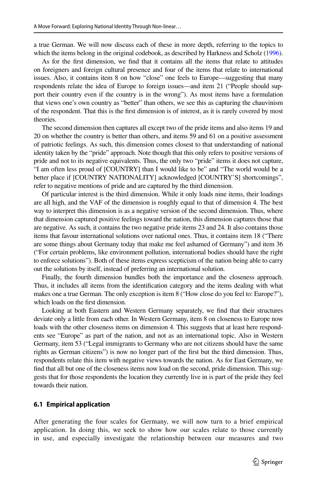a true German. We will now discuss each of these in more depth, referring to the topics to which the items belong in the original codebook, as described by Harkness and Scholz ([1996](#page-18-27)).

As for the frst dimension, we fnd that it contains all the items that relate to attitudes on foreigners and foreign cultural presence and four of the items that relate to international issues. Also, it contains item 8 on how "close" one feels to Europe—suggesting that many respondents relate the idea of Europe to foreign issues—and item 21 ("People should support their country even if the country is in the wrong"). As most items have a formulation that views one's own country as "better" than others, we see this as capturing the chauvinism of the respondent. That this is the frst dimension is of interest, as it is rarely covered by most theories.

The second dimension then captures all except two of the pride items and also items 19 and 20 on whether the country is better than others, and items 59 and 61 on a positive assessment of patriotic feelings. As such, this dimension comes closest to that understanding of national identity taken by the "pride" approach. Note though that this only refers to positive versions of pride and not to its negative equivalents. Thus, the only two "pride" items it does not capture, "I am often less proud of [COUNTRY] than I would like to be" and "The world would be a better place if [COUNTRY NATIONALITY] acknowledged [COUNTRY'S] shortcomings", refer to negative mentions of pride and are captured by the third dimension.

Of particular interest is the third dimension. While it only loads nine items, their loadings are all high, and the VAF of the dimension is roughly equal to that of dimension 4. The best way to interpret this dimension is as a negative version of the second dimension. Thus, where that dimension captured positive feelings toward the nation, this dimension captures those that are negative. As such, it contains the two negative pride items 23 and 24. It also contains those items that favour international solutions over national ones. Thus, it contains item 18 ("There are some things about Germany today that make me feel ashamed of Germany") and item 36 ("For certain problems, like environment pollution, international bodies should have the right to enforce solutions"). Both of these items express scepticism of the nation being able to carry out the solutions by itself, instead of preferring an international solution.

Finally, the fourth dimension bundles both the importance and the closeness approach. Thus, it includes all items from the identifcation category and the items dealing with what makes one a true German. The only exception is item 8 ("How close do you feel to: Europe?"), which loads on the frst dimension.

Looking at both Eastern and Western Germany separately, we fnd that their structures deviate only a little from each other. In Western Germany, item 8 on closeness to Europe now loads with the other closeness items on dimension 4. This suggests that at least here respondents see "Europe" as part of the nation, and not as an international topic. Also in Western Germany, item 53 ("Legal immigrants to Germany who are not citizens should have the same rights as German citizens") is now no longer part of the frst but the third dimension. Thus, respondents relate this item with negative views towards the nation. As for East Germany, we fnd that all but one of the closeness items now load on the second, pride dimension. This suggests that for those respondents the location they currently live in is part of the pride they feel towards their nation.

#### **6.1 Empirical application**

After generating the four scales for Germany, we will now turn to a brief empirical application. In doing this, we seek to show how our scales relate to those currently in use, and especially investigate the relationship between our measures and two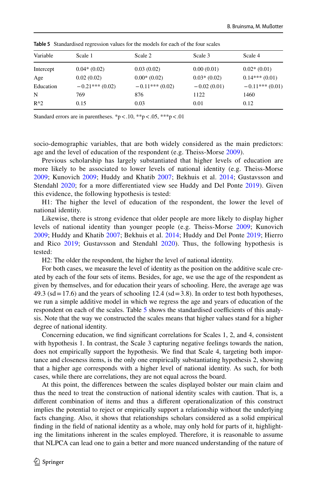| Variable      | Scale 1          | Scale 2          | Scale 3       | Scale 4          |
|---------------|------------------|------------------|---------------|------------------|
| Intercept     | $0.04*(0.02)$    | 0.03(0.02)       | 0.00(0.01)    | $0.02*(0.01)$    |
| Age           | 0.02(0.02)       | $0.00*(0.02)$    | $0.03*(0.02)$ | $0.14***(0.01)$  |
| Education     | $-0.21***(0.02)$ | $-0.11***(0.02)$ | $-0.02(0.01)$ | $-0.11***(0.01)$ |
| N             | 769              | 876              | 1122          | 1460             |
| $R^{\wedge}2$ | 0.15             | 0.03             | 0.01          | 0.12             |

<span id="page-14-0"></span>**Table 5** Standardised regression values for the models for each of the four scales

Standard errors are in parentheses. \*p<.10, \*\*p<.05, \*\*\*p<.01

socio-demographic variables, that are both widely considered as the main predictors: age and the level of education of the respondent (e.g. Theiss-Morse [2009](#page-19-1)).

Previous scholarship has largely substantiated that higher levels of education are more likely to be associated to lower levels of national identity (e.g. Theiss-Morse [2009](#page-19-1); Kunovich [2009;](#page-18-2) Huddy and Khatib [2007](#page-18-1); Bekhuis et al. [2014;](#page-17-27) Gustavsson and Stendahl [2020;](#page-18-5) for a more diferentiated view see Huddy and Del Ponte [2019\)](#page-18-6). Given this evidence, the following hypothesis is tested:

H1: The higher the level of education of the respondent, the lower the level of national identity.

Likewise, there is strong evidence that older people are more likely to display higher levels of national identity than younger people (e.g. Theiss-Morse [2009](#page-19-1); Kunovich [2009](#page-18-2); Huddy and Khatib [2007;](#page-18-1) Bekhuis et al. [2014;](#page-17-27) Huddy and Del Ponte [2019](#page-18-6); Hierro and Rico [2019](#page-18-17); Gustavsson and Stendahl [2020\)](#page-18-5). Thus, the following hypothesis is tested:

H2: The older the respondent, the higher the level of national identity.

For both cases, we measure the level of identity as the position on the additive scale created by each of the four sets of items. Besides, for age, we use the age of the respondent as given by themselves, and for education their years of schooling. Here, the average age was 49.3 (sd = 17.6) and the years of schooling 12.4 (sd =  $3.8$ ). In order to test both hypotheses, we run a simple additive model in which we regress the age and years of education of the respondent on each of the scales. Table [5](#page-14-0) shows the standardised coefficients of this analysis. Note that the way we constructed the scales means that higher values stand for a higher degree of national identity.

Concerning education, we fnd signifcant correlations for Scales 1, 2, and 4, consistent with hypothesis 1. In contrast, the Scale 3 capturing negative feelings towards the nation, does not empirically support the hypothesis. We fnd that Scale 4, targeting both importance and closeness items, is the only one empirically substantiating hypothesis 2, showing that a higher age corresponds with a higher level of national identity. As such, for both cases, while there are correlations, they are not equal across the board.

At this point, the diferences between the scales displayed bolster our main claim and thus the need to treat the construction of national identity scales with caution. That is, a diferent combination of items and thus a diferent operationalization of this construct implies the potential to reject or empirically support a relationship without the underlying facts changing. Also, it shows that relationships scholars considered as a solid empirical fnding in the feld of national identity as a whole, may only hold for parts of it, highlighting the limitations inherent in the scales employed. Therefore, it is reasonable to assume that NLPCA can lead one to gain a better and more nuanced understanding of the nature of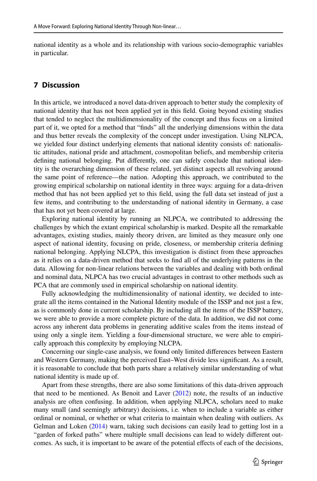national identity as a whole and its relationship with various socio-demographic variables in particular.

### **7 Discussion**

In this article, we introduced a novel data-driven approach to better study the complexity of national identity that has not been applied yet in this feld. Going beyond existing studies that tended to neglect the multidimensionality of the concept and thus focus on a limited part of it, we opted for a method that "fnds" all the underlying dimensions within the data and thus better reveals the complexity of the concept under investigation. Using NLPCA, we yielded four distinct underlying elements that national identity consists of: nationalistic attitudes, national pride and attachment, cosmopolitan beliefs, and membership criteria defning national belonging. Put diferently, one can safely conclude that national identity is the overarching dimension of these related, yet distinct aspects all revolving around the same point of reference—the nation. Adopting this approach, we contributed to the growing empirical scholarship on national identity in three ways: arguing for a data-driven method that has not been applied yet to this feld, using the full data set instead of just a few items, and contributing to the understanding of national identity in Germany, a case that has not yet been covered at large.

Exploring national identity by running an NLPCA, we contributed to addressing the challenges by which the extant empirical scholarship is marked. Despite all the remarkable advantages, existing studies, mainly theory driven, are limited as they measure only one aspect of national identity, focusing on pride, closeness, or membership criteria defning national belonging. Applying NLCPA, this investigation is distinct from these approaches as it relies on a data-driven method that seeks to fnd all of the underlying patterns in the data. Allowing for non-linear relations between the variables and dealing with both ordinal and nominal data, NLPCA has two crucial advantages in contrast to other methods such as PCA that are commonly used in empirical scholarship on national identity.

Fully acknowledging the multidimensionality of national identity, we decided to integrate all the items contained in the National Identity module of the ISSP and not just a few, as is commonly done in current scholarship. By including all the items of the ISSP battery, we were able to provide a more complete picture of the data. In addition, we did not come across any inherent data problems in generating additive scales from the items instead of using only a single item. Yielding a four-dimensional structure, we were able to empirically approach this complexity by employing NLCPA.

Concerning our single-case analysis, we found only limited diferences between Eastern and Western Germany, making the perceived East–West divide less signifcant. As a result, it is reasonable to conclude that both parts share a relatively similar understanding of what national identity is made up of.

Apart from these strengths, there are also some limitations of this data-driven approach that need to be mentioned. As Benoit and Laver ([2012\)](#page-17-28) note, the results of an inductive analysis are often confusing. In addition, when applying NLPCA, scholars need to make many small (and seemingly arbitrary) decisions, i.e. when to include a variable as either ordinal or nominal, or whether or what criteria to maintain when dealing with outliers. As Gelman and Loken ([2014\)](#page-17-29) warn, taking such decisions can easily lead to getting lost in a "garden of forked paths" where multiple small decisions can lead to widely diferent outcomes. As such, it is important to be aware of the potential efects of each of the decisions,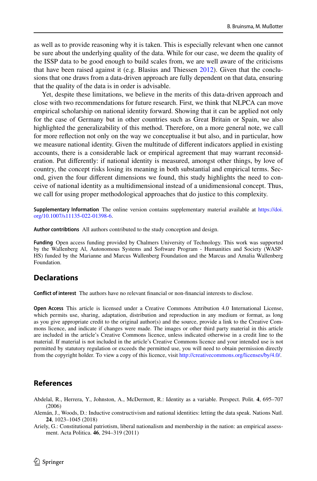as well as to provide reasoning why it is taken. This is especially relevant when one cannot be sure about the underlying quality of the data. While for our case, we deem the quality of the ISSP data to be good enough to build scales from, we are well aware of the criticisms that have been raised against it (e.g. Blasius and Thiessen [2012](#page-17-24)). Given that the conclusions that one draws from a data-driven approach are fully dependent on that data, ensuring that the quality of the data is in order is advisable.

Yet, despite these limitations, we believe in the merits of this data-driven approach and close with two recommendations for future research. First, we think that NLPCA can move empirical scholarship on national identity forward. Showing that it can be applied not only for the case of Germany but in other countries such as Great Britain or Spain, we also highlighted the generalizability of this method. Therefore, on a more general note, we call for more refection not only on the way we conceptualise it but also, and in particular, how we measure national identity. Given the multitude of diferent indicators applied in existing accounts, there is a considerable lack or empirical agreement that may warrant reconsideration. Put diferently: if national identity is measured, amongst other things, by love of country, the concept risks losing its meaning in both substantial and empirical terms. Second, given the four diferent dimensions we found, this study highlights the need to conceive of national identity as a multidimensional instead of a unidimensional concept. Thus, we call for using proper methodological approaches that do justice to this complexity.

**Supplementary Information** The online version contains supplementary material available at [https://doi.](https://doi.org/10.1007/s11135-022-01398-6) [org/10.1007/s11135-022-01398-6.](https://doi.org/10.1007/s11135-022-01398-6)

**Author contribtions** All authors contributed to the study conception and design.

**Funding** Open access funding provided by Chalmers University of Technology. This work was supported by the Wallenberg Al, Autonomous Systems and Software Program - Humanities and Society (WASP-HS) funded by the Marianne and Marcus Wallenberg Foundation and the Marcus and Amalia Wallenberg Foundation.

### **Declarations**

**Confict of interest** The authors have no relevant fnancial or non-fnancial interests to disclose.

**Open Access** This article is licensed under a Creative Commons Attribution 4.0 International License, which permits use, sharing, adaptation, distribution and reproduction in any medium or format, as long as you give appropriate credit to the original author(s) and the source, provide a link to the Creative Commons licence, and indicate if changes were made. The images or other third party material in this article are included in the article's Creative Commons licence, unless indicated otherwise in a credit line to the material. If material is not included in the article's Creative Commons licence and your intended use is not permitted by statutory regulation or exceeds the permitted use, you will need to obtain permission directly from the copyright holder. To view a copy of this licence, visit [http://creativecommons.org/licenses/by/4.0/.](http://creativecommons.org/licenses/by/4.0/)

### **References**

- <span id="page-16-1"></span>Abdelal, R., Herrera, Y., Johnston, A., McDermott, R.: Identity as a variable. Perspect. Polit. **4**, 695–707 (2006)
- <span id="page-16-2"></span>Alemán, J., Woods, D.: Inductive constructivism and national identities: letting the data speak. Nations Natl. **24**, 1023–1045 (2018)

<span id="page-16-0"></span>Ariely, G.: Constitutional patriotism, liberal nationalism and membership in the nation: an empirical assessment. Acta Politica. **46**, 294–319 (2011)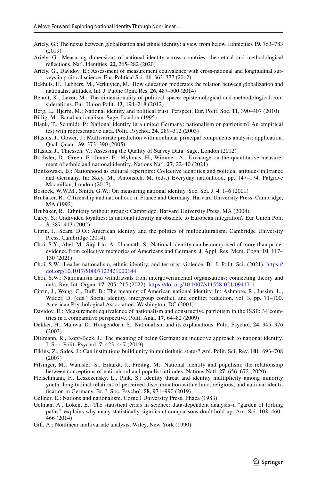- <span id="page-17-0"></span>Ariely, G.: The nexus between globalization and ethnic identity: a view from below. Ethnicities **19**, 763–783 (2019)
- <span id="page-17-1"></span>Ariely, G.: Measuring dimensions of national identity across countries: theoretical and methodological refections. Natl. Identities. **22**, 265–282 (2020)
- <span id="page-17-3"></span>Ariely, G., Davidov, E.: Assessment of measurement equivalence with cross-national and longitudinal surveys in political science. Eur. Political Sci. **11**, 363–377 (2012)
- <span id="page-17-27"></span>Bekhuis, H., Lubbers, M., Verkuyten, M.: How education moderates the relation between globalization and nationalist attitudes. Int. J. Public Opin. Res. **26**, 487–500 (2014)
- <span id="page-17-28"></span>Benoit, K., Laver, M.: The dimensionality of political space: epistemological and methodological considerations. Eur. Union Polit. **13**, 194–218 (2012)
- <span id="page-17-7"></span>Berg, L., Hjerm, M.: National identity and political trust. Perspect. Eur. Polit. Soc. **11**, 390–407 (2010)
- <span id="page-17-21"></span>Billig, M.: Banal nationalism. Sage, London (1995)
- <span id="page-17-12"></span>Blank, T., Schmidt, P.: National identity in a united Germany: nationalism or patriotism? An empirical test with representative data. Polit. Psychol. **24**, 289–312 (2003)
- <span id="page-17-26"></span>Blasius, J., Gower, J.: Multivariate prediction with nonlinear principal components analysis: application. Qual. Quant. **39**, 373–390 (2005)
- <span id="page-17-24"></span>Blasius, J., Thiessen, V.: Assessing the Quality of Survey Data. Sage, London (2012)
- <span id="page-17-2"></span>Bochsler, D., Green, E., Jenne, E., Mylonas, H., Wimmer, A.: Exchange on the quantitative measurement of ethnic and national identity. Nations Natl. **27**, 22–40 (2021)
- <span id="page-17-20"></span>Bonikowski, B.: Nationhood as cultural repertoire: Collective identities and political attitudes in France and Germany. In: Skey, M., Antonsich, M. (eds.) Everyday nationhood, pp. 147–174. Palgrave Macmillan, London (2017)
- <span id="page-17-16"></span>Bostock, W.W.M., Smith, G.W.: On measuring national identity. Soc. Sci. J. **4**, 1–6 (2001)
- <span id="page-17-10"></span>Brubaker, R.: Citizenship and nationhood in France and Germany. Harvard University Press, Cambridge, MA (1992)
- <span id="page-17-11"></span>Brubaker, R.: Ethnicity without groups: Cambridge. Harvard University Press, MA (2004)
- <span id="page-17-4"></span>Carey, S.: Undivided loyalties: Is national identity an obstacle to European integration? Eur Union Poli. **3**, 387–413 (2002)
- <span id="page-17-17"></span>Citrin, J., Sears, D.O.: American identity and the politics of multiculturalism. Cambridge University Press, Cambridge (2014)
- <span id="page-17-15"></span>Choi, S.Y., Abel, M., Siqi-Liu, A., Umanath, S.: National identity can be comprised of more than pride: evidence from collective memories of Americans and Germans. J. Appl. Res. Mem. Cogn. **10**, 117– 130 (2021)
- <span id="page-17-18"></span>Choi, S.W.: Leader nationalism, ethnic identity, and terrorist violence. Br. J. Polit. Sci. (2021). [https://](https://doi.org/10.1017/S0007123421000144) [doi.org/10.1017/S0007123421000144](https://doi.org/10.1017/S0007123421000144)
- <span id="page-17-22"></span>Choi, S.W.: Nationalism and withdrawals from intergovernmental organisations: connecting theory and data. Rev. Int. Organ. **17**, 205–215 (2022). <https://doi.org/10.1007/s11558-021-09417-1>
- <span id="page-17-6"></span>Citrin, J., Wong, C., Duf, B.: The meaning of American national identity. In: Ashmore, R., Jussim, L., Wilder, D. (eds.) Social identity, intergroup conflict, and conflict reduction, vol. 3, pp. 71–100. American Psychological Association, Washington, DC (2001)
- <span id="page-17-13"></span>Davidov, E.: Measurement equivalence of nationalism and constructive patriotism in the ISSP: 34 countries in a comparative perspective. Polit. Anal. **17**, 64–82 (2009)
- <span id="page-17-5"></span>Dekker, H., Malova, D., Hoogendorn, S.: Nationalism and its explanations. Polit. Psychol. **24**, 345–376 (2003)
- <span id="page-17-19"></span>Ditlmann, R., Kopf-Beck, J.: The meaning of being German: an inductive approach to national identity. J. Soc. Polit. Psychol. **7**, 423–447 (2019)
- <span id="page-17-14"></span>Elkins, Z., Sides, J.: Can institutions build unity in multiethnic states? Am. Polit. Sci. Rev. **101**, 693–708 (2007)
- <span id="page-17-8"></span>Filsinger, M., Wamsler, S., Erhardt, J., Freitag, M.: National identity and populism: the relationship between conceptions of nationhood and populist attitudes. Nations Natl. **27**, 656–672 (2020)
- <span id="page-17-23"></span>Fleischmann, F., Leszczensky, L., Pink, S.: Identity threat and identity multiplicity among minority youth: longitudinal relations of perceived discrimination with ethnic, religious, and national identifcation in Germany. Br. J. Soc. Psychol. **58**, 971–990 (2019)
- <span id="page-17-9"></span>Gellner, E.: Nations and nationalism. Cornell University Press, Ithaca (1983)
- <span id="page-17-29"></span>Gelman, A., Loken, E.: The statistical crisis in science: data-dependent analysis–a "garden of forking paths"–explains why many statistically signifcant comparisons don't hold up. Am. Sci. **102**, 460– 466 (2014)
- <span id="page-17-25"></span>Gif, A.: Nonlinear multivariate analysis. Wiley, New York (1990)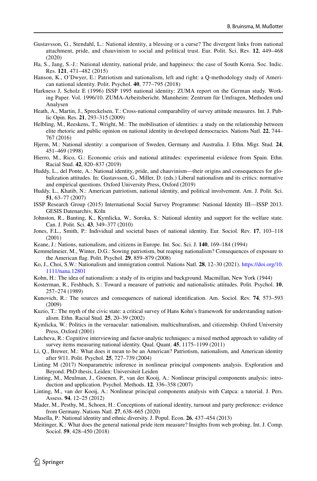- <span id="page-18-5"></span>Gustavsson, G., Stendahl, L.: National identity, a blessing or a curse? The divergent links from national attachment, pride, and chauvinism to social and political trust. Eur. Polit. Sci. Rev. **12**, 449–468 (2020)
- <span id="page-18-10"></span>Ha, S., Jang, S.-J.: National identity, national pride, and happiness: the case of South Korea. Soc. Indic. Res. **121**, 471–482 (2015)
- <span id="page-18-3"></span>Hanson, K., O'Dwyer, E.: Patriotism and nationalism, left and right: a Q-methodology study of American national identity. Polit. Psychol. **40**, 777–795 (2018)
- <span id="page-18-27"></span>Harkness J, Scholz E (1996) ISSP 1995 national identity: ZUMA report on the German study. Working Paper. Vol. 1996/10. ZUMA-Arbeitsbericht. Mannheim: Zentrum für Umfragen, Methoden und Analysen
- <span id="page-18-23"></span>Heath, A., Martin, J., Spreckelsen, T.: Cross-national comparability of survey attitude measures. Int. J. Public Opin. Res. **21**, 293–315 (2009)
- <span id="page-18-18"></span>Helbling, M., Reeskens, T., Wright, M.: The mobilisation of identities: a study on the relationship between elite rhetoric and public opinion on national identity in developed democracies. Nations Natl. **22**, 744– 767 (2016)
- <span id="page-18-0"></span>Hjerm, M.: National identity: a comparison of Sweden, Germany and Australia. J. Ethn. Migr. Stud. **24**, 451–469 (1998)
- <span id="page-18-17"></span>Hierro, M., Rico, G.: Economic crisis and national attitudes: experimental evidence from Spain. Ethn. Racial Stud. **42**, 820–837 (2019)
- <span id="page-18-6"></span>Huddy, L., del Ponte, A.: National identity, pride, and chauvinism—their origins and consequences for globalization attitudes. In: Gustavsson, G., Miller, D. (eds.) Liberal nationalism and its critics: normative and empirical questions. Oxford University Press, Oxford (2019)
- <span id="page-18-1"></span>Huddy, L., Khatib, N.: American patriotism, national identity, and political involvement. Am. J. Polit. Sci. **51**, 63–77 (2007)
- <span id="page-18-22"></span>ISSP Research Group (2015) International Social Survey Programme: National Identity III—ISSP 2013. GESIS Datenarchiv, Köln
- <span id="page-18-19"></span>Johnston, R., Banting, K., Kymlicka, W., Soroka, S.: National identity and support for the welfare state. Can. J. Polit. Sci. **43**, 349–377 (2010)
- <span id="page-18-9"></span>Jones, F.L., Smith, P.: Individual and societal bases of national identity. Eur. Sociol. Rev. **17**, 103–118 (2001)
- <span id="page-18-7"></span>Keane, J.: Nations, nationalism, and citizens in Europe. Int. Soc. Sci. J. **140**, 169–184 (1994)
- <span id="page-18-15"></span>Kemmelmeier, M., Winter, D.G.: Sowing patriotism, but reaping nationalism? Consequences of exposure to the American fag. Polit. Psychol. **29**, 859–879 (2008)
- <span id="page-18-26"></span>Ko, J., Choi, S.W.: Nationalism and immigration control. Nations Natl. **28**, 12–30 (2021). [https://doi.org/10.](https://doi.org/10.1111/nana.12801) [1111/nana.12801](https://doi.org/10.1111/nana.12801)
- <span id="page-18-11"></span>Kohn, H.: The idea of nationalism: a study of its origins and background. Macmillan, New York (1944)
- <span id="page-18-14"></span>Kosterman, R., Feshbach, S.: Toward a measure of patriotic and nationalistic attitudes. Polit. Psychol. **10**, 257–274 (1989)
- <span id="page-18-2"></span>Kunovich, R.: The sources and consequences of national identifcation. Am. Sociol. Rev. **74**, 573–593 (2009)
- <span id="page-18-13"></span>Kuzio, T.: The myth of the civic state: a critical survey of Hans Kohn's framework for understanding nationalism. Ethn. Racial Stud. **25**, 20–39 (2002)
- <span id="page-18-12"></span>Kymlicka, W.: Politics in the vernacular: nationalism, multiculturalism, and citizenship. Oxford University Press, Oxford (2001)
- <span id="page-18-16"></span>Latcheva, R.: Cognitive interviewing and factor-analytic techniques: a mixed method approach to validity of survey items measuring national identity. Qual. Quant. **45**, 1175–1199 (2011)
- <span id="page-18-8"></span>Li, Q., Brewer, M.: What does it mean to be an American? Patriotism, nationalism, and American identity after 9/11. Polit. Psychol. **25**, 727–739 (2004)
- Linting M (2017) Nonparametric inference in nonlinear principal components analysis. Exploration and Beyond. PhD thesis, Leiden: Universiteit Leiden
- <span id="page-18-24"></span>Linting, M., Meulman, J., Groenen, P., van der Kooij, A.: Nonlinear principal components analysis: introduction and application. Psychol. Methods. **12**, 336–358 (2007)
- <span id="page-18-25"></span>Linting, M., van der Kooij, A.: Nonlinear principal components analysis with Catpca: a tutorial. J. Pers. Assess. **94**, 12–25 (2012)
- <span id="page-18-4"></span>Mader, M., Pesthy, M., Schoen, H.: Conceptions of national identity, turnout and party preference: evidence from Germany. Nations Natl. **27**, 638–665 (2020)

<span id="page-18-20"></span>Masella, P.: National identity and ethnic diversity. J. Popul. Econ. **26**, 437–454 (2013)

<span id="page-18-21"></span>Meitinger, K.: What does the general national pride item measure? Insights from web probing. Int. J. Comp. Sociol. **59**, 428–450 (2018)